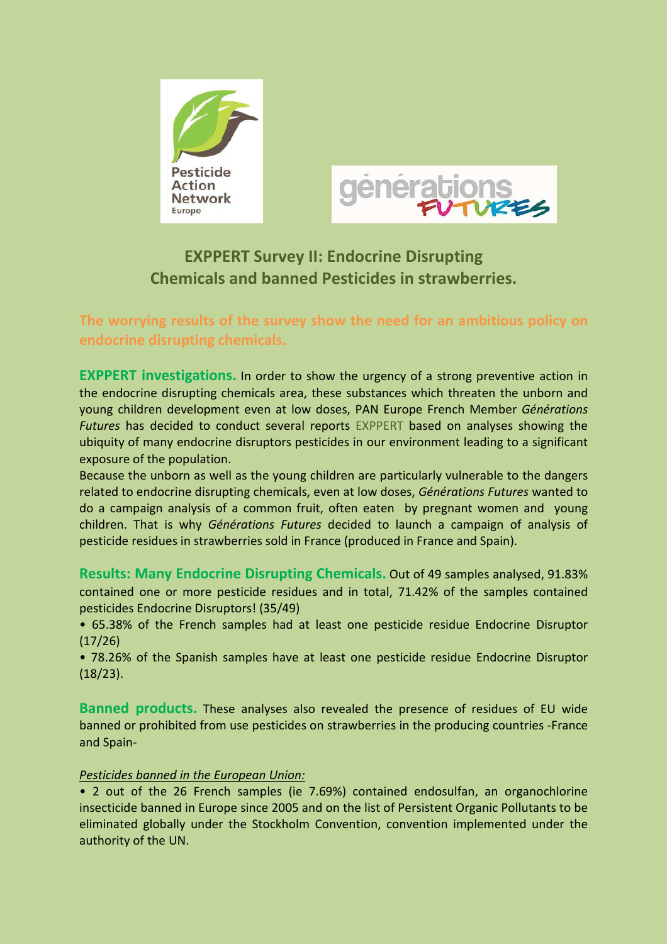



## **EXPPERT Survey II: Endocrine Disrupting Chemicals and banned Pesticides in strawberries.**

## **The worrying results of the survey show the need for an ambitious policy on endocrine disrupting chemicals.**

**EXPPERT investigations.** In order to show the urgency of a strong preventive action in the endocrine disrupting chemicals area, these substances which threaten the unborn and young children development even at low doses, PAN Europe French Member *Générations Futures* has decided to conduct several reports EXPPERT based on analyses showing the ubiquity of many endocrine disruptors pesticides in our environment leading to a significant exposure of the population.

Because the unborn as well as the young children are particularly vulnerable to the dangers related to endocrine disrupting chemicals, even at low doses, *Générations Futures* wanted to do a campaign analysis of a common fruit, often eaten by pregnant women and young children. That is why *Générations Futures* decided to launch a campaign of analysis of pesticide residues in strawberries sold in France (produced in France and Spain).

**Results: Many Endocrine Disrupting Chemicals.** Out of 49 samples analysed, 91.83% contained one or more pesticide residues and in total, 71.42% of the samples contained pesticides Endocrine Disruptors! (35/49)

• 65.38% of the French samples had at least one pesticide residue Endocrine Disruptor (17/26)

• 78.26% of the Spanish samples have at least one pesticide residue Endocrine Disruptor (18/23).

**Banned products.** These analyses also revealed the presence of residues of EU wide banned or prohibited from use pesticides on strawberries in the producing countries -France and Spain-

## *Pesticides banned in the European Union:*

• 2 out of the 26 French samples (ie 7.69%) contained endosulfan, an organochlorine insecticide banned in Europe since 2005 and on the list of Persistent Organic Pollutants to be eliminated globally under the Stockholm Convention, convention implemented under the authority of the UN.